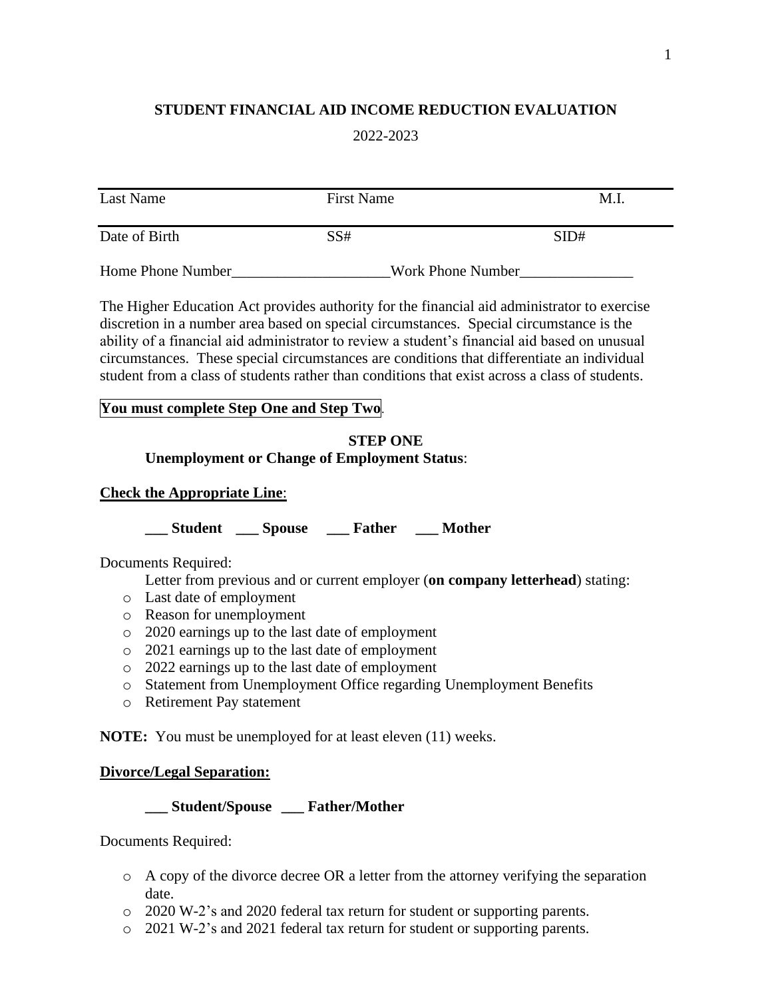# **STUDENT FINANCIAL AID INCOME REDUCTION EVALUATION**

#### 2022-2023

| Last Name         | <b>First Name</b> | M.I               |
|-------------------|-------------------|-------------------|
| Date of Birth     | SS#               | SID#              |
| Home Phone Number |                   | Work Phone Number |

The Higher Education Act provides authority for the financial aid administrator to exercise discretion in a number area based on special circumstances. Special circumstance is the ability of a financial aid administrator to review a student's financial aid based on unusual circumstances. These special circumstances are conditions that differentiate an individual student from a class of students rather than conditions that exist across a class of students.

#### **You must complete Step One and Step Two**.

## **STEP ONE Unemployment or Change of Employment Status**:

#### **Check the Appropriate Line**:

**\_\_\_ Student \_\_\_ Spouse \_\_\_ Father \_\_\_ Mother** 

Documents Required:

Letter from previous and or current employer (**on company letterhead**) stating:

- o Last date of employment
- o Reason for unemployment
- o 2020 earnings up to the last date of employment
- o 2021 earnings up to the last date of employment
- o 2022 earnings up to the last date of employment
- o Statement from Unemployment Office regarding Unemployment Benefits
- o Retirement Pay statement

**NOTE:** You must be unemployed for at least eleven (11) weeks.

#### **Divorce/Legal Separation:**

**\_\_\_ Student/Spouse \_\_\_ Father/Mother**

Documents Required:

- $\circ$  A copy of the divorce decree OR a letter from the attorney verifying the separation date.
- o 2020 W-2's and 2020 federal tax return for student or supporting parents.
- o 2021 W-2's and 2021 federal tax return for student or supporting parents.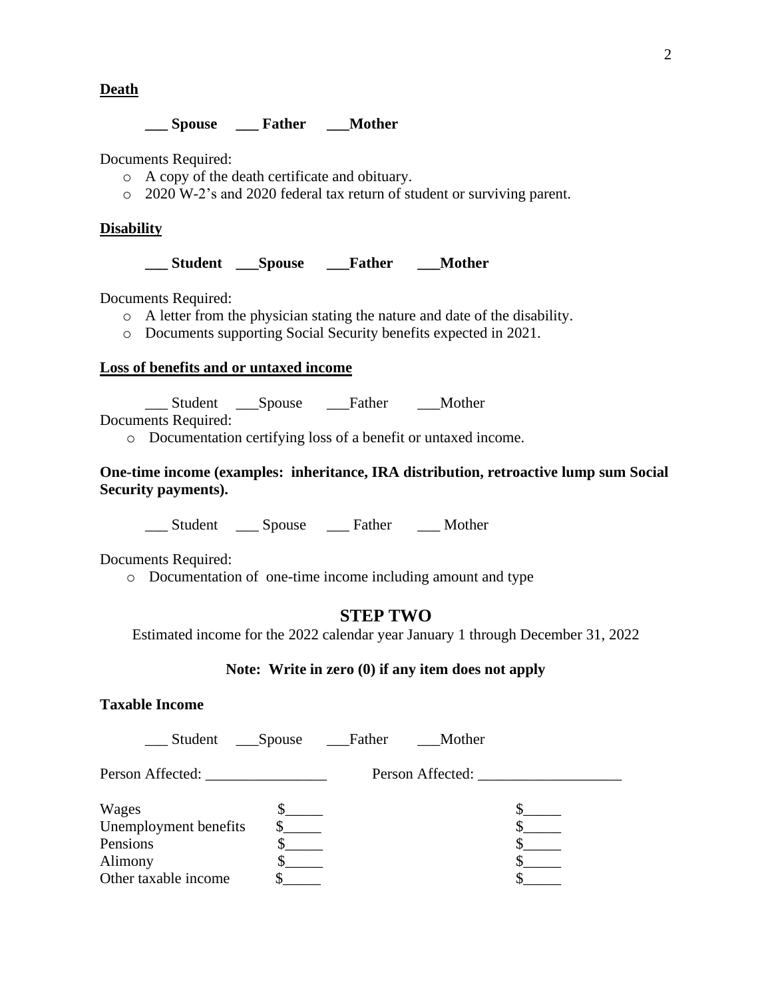**Death**

## **\_\_\_ Spouse \_\_\_ Father \_\_\_Mother**

Documents Required:

- o A copy of the death certificate and obituary.
- o 2020 W-2's and 2020 federal tax return of student or surviving parent.

## **Disability**

**\_\_\_ Student \_\_\_Spouse \_\_\_Father \_\_\_Mother**

Documents Required:

- o A letter from the physician stating the nature and date of the disability.
- o Documents supporting Social Security benefits expected in 2021.

## **Loss of benefits and or untaxed income**

\_\_\_ Student \_\_\_Spouse \_\_\_Father \_\_\_Mother

Documents Required:

o Documentation certifying loss of a benefit or untaxed income.

#### **One-time income (examples: inheritance, IRA distribution, retroactive lump sum Social Security payments).**

\_\_\_ Student \_\_\_ Spouse \_\_\_ Father \_\_\_ Mother

Documents Required:

o Documentation of one-time income including amount and type

# **STEP TWO**

Estimated income for the 2022 calendar year January 1 through December 31, 2022

## **Note: Write in zero (0) if any item does not apply**

# **Taxable Income**

| Student                        | ____Spouse | ___Father | Mother           |  |
|--------------------------------|------------|-----------|------------------|--|
|                                |            |           | Person Affected: |  |
| Wages<br>Unemployment benefits |            |           |                  |  |
| Pensions<br>Alimony            |            |           |                  |  |
| Other taxable income           |            |           |                  |  |